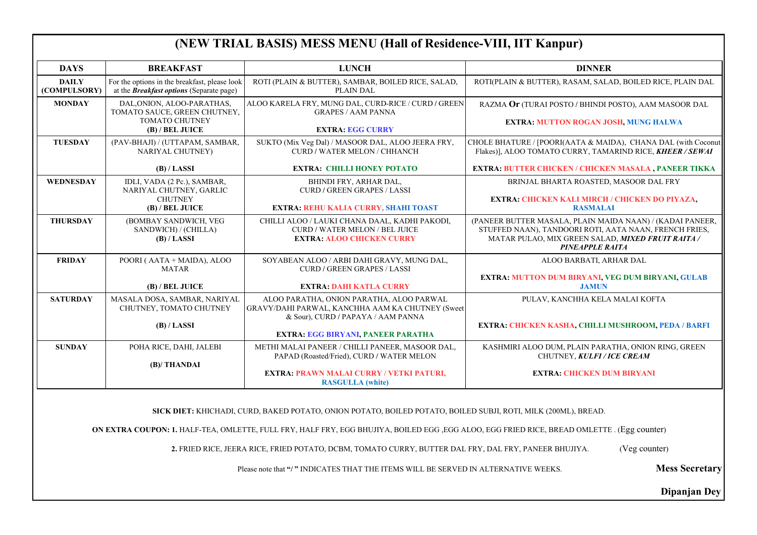## **(NEW TRIAL BASIS) MESS MENU (Hall of Residence-VIII, IIT Kanpur)**

**SICK DIET:** KHICHADI, CURD, BAKED POTATO, ONION POTATO, BOILED POTATO, BOILED SUBJI, ROTI, MILK (200ML), BREAD.

**ON EXTRA COUPON: 1.** HALF-TEA, OMLETTE, FULL FRY, HALF FRY, EGG BHUJIYA, BOILED EGG ,EGG ALOO, EGG FRIED RICE, BREAD OMLETTE . (Egg counter)

**2.** FRIED RICE, JEERA RICE, FRIED POTATO, DCBM, TOMATO CURRY, BUTTER DAL FRY, DAL FRY, PANEER BHUJIYA. (Veg counter)

Please note that "/ " INDICATES THAT THE ITEMS WILL BE SERVED IN ALTERNATIVE WEEKS. **Mess Secretary** 

SAM, SALAD, BOILED RICE, PLAIN DAL

 $D$  / BHINDI POSTO), AAM MASOOR DAL

**Dipanjan Dey**

ATA & MAIDA), CHANA DAL (with Coconut Flakes)], ALOO TOMATO CURRY, TAMARIND RICE, *KHEER / SEWAI*

PLAIN MAIDA NAAN) / (KADAI PANEER, DRI ROTI, AATA NAAN, FRENCH FRIES, MATAR PULAO, MIX GREEN SALAD, *MIXED FRUIT RAITA / PINEAPPLE RAITA*

ARBATI, ARHAR DAL

**EXTRA: MUTTON ROGAN JOSH, MUNG HALWA**

**EXTRA: BUTTER CHICKEN / CHICKEN MASALA , PANEER TIKKA**

ROASTED, MASOOR DAL FRY

LAIN PARATHA, ONION RING, GREEN CHUTNEY, *KULFI / ICE CREAM*

| <b>DAYS</b>                  | <b>BREAKFAST</b>                                                                                 | <b>LUNCH</b>                                                                                                                       | <b>DINNER</b>                                                                                                            |
|------------------------------|--------------------------------------------------------------------------------------------------|------------------------------------------------------------------------------------------------------------------------------------|--------------------------------------------------------------------------------------------------------------------------|
| <b>DAILY</b><br>(COMPULSORY) | For the options in the breakfast, please look<br>at the <b>Breakfast options</b> (Separate page) | ROTI (PLAIN & BUTTER), SAMBAR, BOILED RICE, SALAD,<br>PLAIN DAL                                                                    | ROTI(PLAIN & BUTTER), RASAM, SALA                                                                                        |
| <b>MONDAY</b>                | DAL, ONION, ALOO-PARATHAS,<br>TOMATO SAUCE, GREEN CHUTNEY,                                       | ALOO KARELA FRY, MUNG DAL, CURD-RICE / CURD / GREEN<br><b>GRAPES / AAM PANNA</b>                                                   | RAZMA Or (TURAI POSTO / BHINDI I                                                                                         |
|                              | <b>TOMATO CHUTNEY</b><br>(B) / BEL JUICE                                                         | <b>EXTRA: EGG CURRY</b>                                                                                                            | <b>EXTRA: MUTTON ROGAN JO</b>                                                                                            |
| <b>TUESDAY</b>               | (PAV-BHAJI) / (UTTAPAM, SAMBAR,<br><b>NARIYAL CHUTNEY)</b>                                       | SUKTO (Mix Veg Dal) / MASOOR DAL, ALOO JEERA FRY,<br>CURD / WATER MELON / CHHANCH                                                  | CHOLE BHATURE / [POORI(AATA & MAI<br>Flakes)], ALOO TOMATO CURRY, TAM.                                                   |
|                              | (B) / LASSI                                                                                      | <b>EXTRA: CHILLI HONEY POTATO</b>                                                                                                  | <b>EXTRA: BUTTER CHICKEN / CHICKE</b>                                                                                    |
| <b>WEDNESDAY</b>             | IDLI, VADA (2 Pc.), SAMBAR,<br>NARIYAL CHUTNEY, GARLIC                                           | BHINDI FRY, ARHAR DAL,<br><b>CURD / GREEN GRAPES / LASSI</b>                                                                       | <b>BRINJAL BHARTA ROASTED.</b>                                                                                           |
|                              | <b>CHUTNEY</b><br>(B) / BEL JUICE                                                                | <b>EXTRA: REHU KALIA CURRY, SHAHI TOAST</b>                                                                                        | <b>EXTRA: CHICKEN KALI MIRCH</b><br><b>RASMALA</b>                                                                       |
| <b>THURSDAY</b>              | (BOMBAY SANDWICH, VEG<br>SANDWICH) / (CHILLA)<br>(B) / LASSI                                     | CHILLI ALOO / LAUKI CHANA DAAL, KADHI PAKODI,<br><b>CURD / WATER MELON / BEL JUICE</b><br><b>EXTRA: ALOO CHICKEN CURRY</b>         | (PANEER BUTTER MASALA, PLAIN MA)<br>STUFFED NAAN), TANDOORI ROTI, A<br>MATAR PULAO, MIX GREEN SALA<br><b>PINEAPPLE R</b> |
| <b>FRIDAY</b>                | POORI (AATA + MAIDA), ALOO<br><b>MATAR</b>                                                       | SOYABEAN ALOO / ARBI DAHI GRAVY, MUNG DAL,<br><b>CURD / GREEN GRAPES / LASSI</b>                                                   | ALOO BARBATI, AF                                                                                                         |
|                              | (B) / BEL JUICE                                                                                  | <b>EXTRA: DAHI KATLA CURRY</b>                                                                                                     | <b>EXTRA: MUTTON DUM BIRYANI, V</b><br><b>JAMUN</b>                                                                      |
| <b>SATURDAY</b>              | MASALA DOSA, SAMBAR, NARIYAL<br>CHUTNEY, TOMATO CHUTNEY                                          | ALOO PARATHA, ONION PARATHA, ALOO PARWAL<br>GRAVY/DAHI PARWAL, KANCHHA AAM KA CHUTNEY (Sweet<br>& Sour), CURD / PAPAYA / AAM PANNA | PULAV, KANCHHA KELA                                                                                                      |
|                              | (B) / LASSI                                                                                      | <b>EXTRA: EGG BIRYANI, PANEER PARATHA</b>                                                                                          | EXTRA: CHICKEN KASHA, CHILLI N                                                                                           |
| <b>SUNDAY</b>                | POHA RICE, DAHI, JALEBI                                                                          | METHI MALAI PANEER / CHILLI PANEER, MASOOR DAL,<br>PAPAD (Roasted/Fried), CURD / WATER MELON                                       | KASHMIRI ALOO DUM, PLAIN PARA<br>CHUTNEY, KULFI/I                                                                        |
|                              | (B)/THANDAI                                                                                      | EXTRA: PRAWN MALAI CURRY / VETKI PATURI,<br><b>RASGULLA</b> (white)                                                                | <b>EXTRA: CHICKEN DI</b>                                                                                                 |

**EXTRA: CHICKEN KALI MIRCH / CHICKEN DO PIYAZA, RASMALAI**

**EXTRA: MUTTON DUM BIRYANI, VEG DUM BIRYANI, GULAB JAMUN**

**PHHA KELA MALAI KOFTA** 

**EXTRA: CHICKEN KASHA, CHILLI MUSHROOM, PEDA / BARFI**

**EXTRA: CHICKEN DUM BIRYANI**